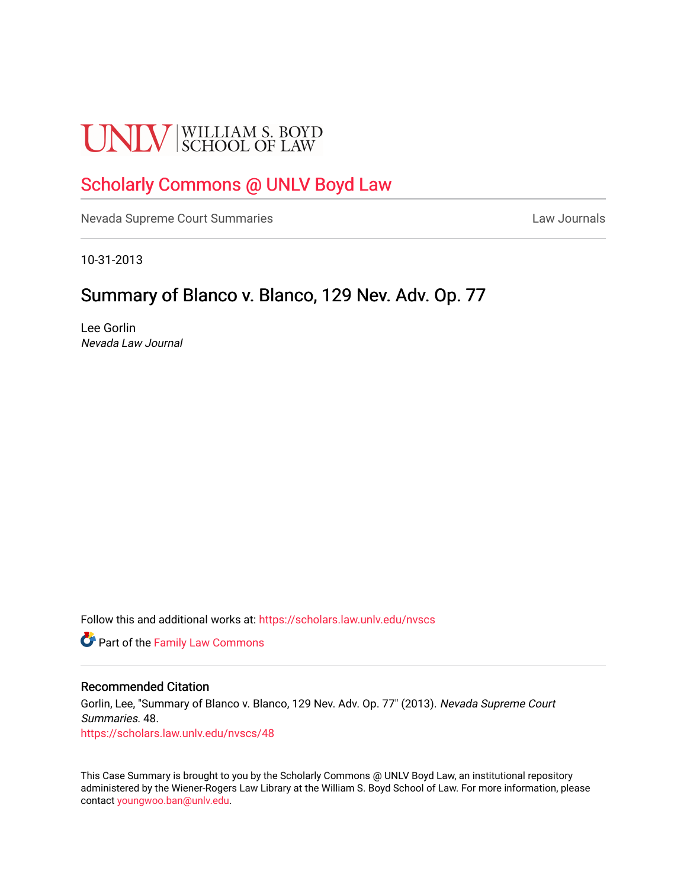# **UNLV** SCHOOL OF LAW

## [Scholarly Commons @ UNLV Boyd Law](https://scholars.law.unlv.edu/)

[Nevada Supreme Court Summaries](https://scholars.law.unlv.edu/nvscs) **Law Journals** Law Journals

10-31-2013

### Summary of Blanco v. Blanco, 129 Nev. Adv. Op. 77

Lee Gorlin Nevada Law Journal

Follow this and additional works at: [https://scholars.law.unlv.edu/nvscs](https://scholars.law.unlv.edu/nvscs?utm_source=scholars.law.unlv.edu%2Fnvscs%2F48&utm_medium=PDF&utm_campaign=PDFCoverPages)

**Part of the Family Law Commons** 

#### Recommended Citation

Gorlin, Lee, "Summary of Blanco v. Blanco, 129 Nev. Adv. Op. 77" (2013). Nevada Supreme Court Summaries. 48. [https://scholars.law.unlv.edu/nvscs/48](https://scholars.law.unlv.edu/nvscs/48?utm_source=scholars.law.unlv.edu%2Fnvscs%2F48&utm_medium=PDF&utm_campaign=PDFCoverPages) 

This Case Summary is brought to you by the Scholarly Commons @ UNLV Boyd Law, an institutional repository administered by the Wiener-Rogers Law Library at the William S. Boyd School of Law. For more information, please contact [youngwoo.ban@unlv.edu](mailto:youngwoo.ban@unlv.edu).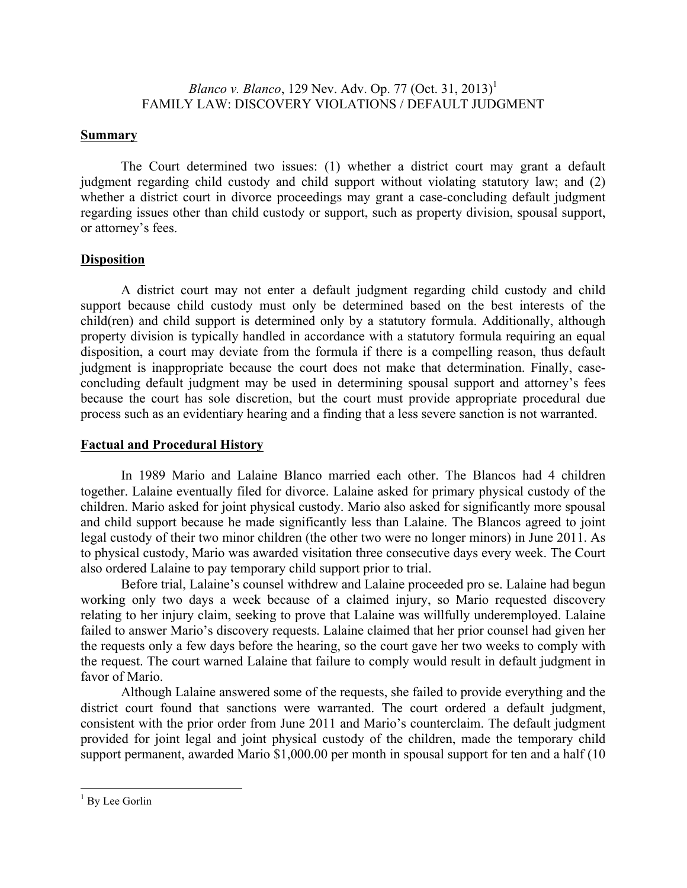#### **Summary**

The Court determined two issues: (1) whether a district court may grant a default judgment regarding child custody and child support without violating statutory law; and (2) whether a district court in divorce proceedings may grant a case-concluding default judgment regarding issues other than child custody or support, such as property division, spousal support, or attorney's fees.

#### **Disposition**

A district court may not enter a default judgment regarding child custody and child support because child custody must only be determined based on the best interests of the child(ren) and child support is determined only by a statutory formula. Additionally, although property division is typically handled in accordance with a statutory formula requiring an equal disposition, a court may deviate from the formula if there is a compelling reason, thus default judgment is inappropriate because the court does not make that determination. Finally, caseconcluding default judgment may be used in determining spousal support and attorney's fees because the court has sole discretion, but the court must provide appropriate procedural due process such as an evidentiary hearing and a finding that a less severe sanction is not warranted.

#### **Factual and Procedural History**

In 1989 Mario and Lalaine Blanco married each other. The Blancos had 4 children together. Lalaine eventually filed for divorce. Lalaine asked for primary physical custody of the children. Mario asked for joint physical custody. Mario also asked for significantly more spousal and child support because he made significantly less than Lalaine. The Blancos agreed to joint legal custody of their two minor children (the other two were no longer minors) in June 2011. As to physical custody, Mario was awarded visitation three consecutive days every week. The Court also ordered Lalaine to pay temporary child support prior to trial.

Before trial, Lalaine's counsel withdrew and Lalaine proceeded pro se. Lalaine had begun working only two days a week because of a claimed injury, so Mario requested discovery relating to her injury claim, seeking to prove that Lalaine was willfully underemployed. Lalaine failed to answer Mario's discovery requests. Lalaine claimed that her prior counsel had given her the requests only a few days before the hearing, so the court gave her two weeks to comply with the request. The court warned Lalaine that failure to comply would result in default judgment in favor of Mario.

Although Lalaine answered some of the requests, she failed to provide everything and the district court found that sanctions were warranted. The court ordered a default judgment, consistent with the prior order from June 2011 and Mario's counterclaim. The default judgment provided for joint legal and joint physical custody of the children, made the temporary child support permanent, awarded Mario \$1,000.00 per month in spousal support for ten and a half (10)

<sup>&</sup>lt;sup>1</sup> By Lee Gorlin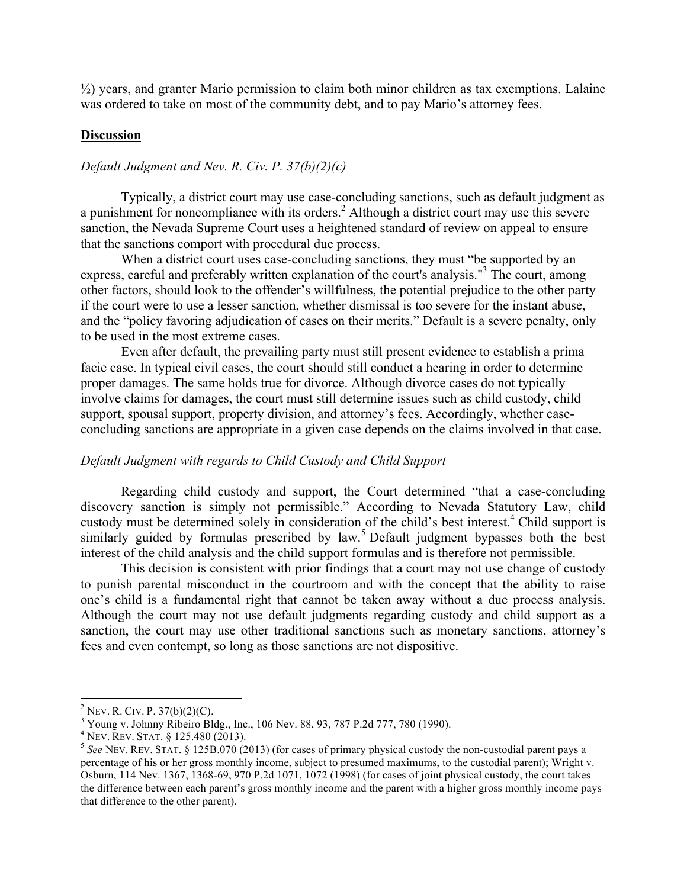½) years, and granter Mario permission to claim both minor children as tax exemptions. Lalaine was ordered to take on most of the community debt, and to pay Mario's attorney fees.

#### **Discussion**

#### *Default Judgment and Nev. R. Civ. P. 37(b)(2)(c)*

Typically, a district court may use case-concluding sanctions, such as default judgment as a punishment for noncompliance with its orders.<sup>2</sup> Although a district court may use this severe sanction, the Nevada Supreme Court uses a heightened standard of review on appeal to ensure that the sanctions comport with procedural due process.

When a district court uses case-concluding sanctions, they must "be supported by an express, careful and preferably written explanation of the court's analysis."<sup>3</sup> The court, among other factors, should look to the offender's willfulness, the potential prejudice to the other party if the court were to use a lesser sanction, whether dismissal is too severe for the instant abuse, and the "policy favoring adjudication of cases on their merits." Default is a severe penalty, only to be used in the most extreme cases.

Even after default, the prevailing party must still present evidence to establish a prima facie case. In typical civil cases, the court should still conduct a hearing in order to determine proper damages. The same holds true for divorce. Although divorce cases do not typically involve claims for damages, the court must still determine issues such as child custody, child support, spousal support, property division, and attorney's fees. Accordingly, whether caseconcluding sanctions are appropriate in a given case depends on the claims involved in that case.

#### *Default Judgment with regards to Child Custody and Child Support*

Regarding child custody and support, the Court determined "that a case-concluding discovery sanction is simply not permissible." According to Nevada Statutory Law, child custody must be determined solely in consideration of the child's best interest.<sup>4</sup> Child support is similarly guided by formulas prescribed by  $\text{law}^5$ . Default judgment bypasses both the best interest of the child analysis and the child support formulas and is therefore not permissible.

This decision is consistent with prior findings that a court may not use change of custody to punish parental misconduct in the courtroom and with the concept that the ability to raise one's child is a fundamental right that cannot be taken away without a due process analysis. Although the court may not use default judgments regarding custody and child support as a sanction, the court may use other traditional sanctions such as monetary sanctions, attorney's fees and even contempt, so long as those sanctions are not dispositive.

<sup>&</sup>lt;sup>2</sup> NEV. R. CIV. P. 37(b)(2)(C).<br><sup>3</sup> Young v. Johnny Ribeiro Bldg., Inc., 106 Nev. 88, 93, 787 P.2d 777, 780 (1990).<br><sup>4</sup> NEV. REV. STAT. § 125.480 (2013).

 $5$  See NEV. REV. STAT. § 125B.070 (2013) (for cases of primary physical custody the non-custodial parent pays a percentage of his or her gross monthly income, subject to presumed maximums, to the custodial parent); Wright v. Osburn, 114 Nev. 1367, 1368-69, 970 P.2d 1071, 1072 (1998) (for cases of joint physical custody, the court takes the difference between each parent's gross monthly income and the parent with a higher gross monthly income pays that difference to the other parent).